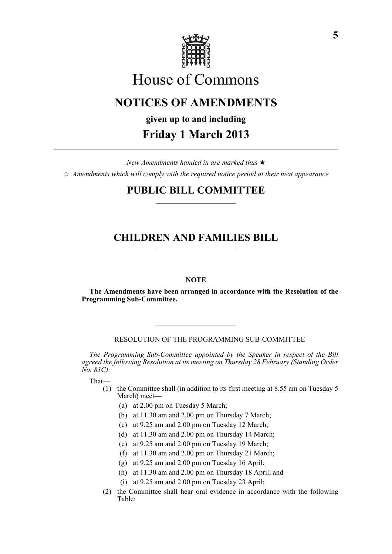

# House of Commons

# **NOTICES OF AMENDMENTS**

# **given up to and including**

# **Friday 1 March 2013**

*New Amendments handed in are marked thus* \*  $\dot{\varphi}$  *Amendments which will comply with the required notice period at their next appearance* 

## **PUBLIC BILL COMMITTEE**

# **CHILDREN AND FAMILIES BILL**

### **NOTE**

**The Amendments have been arranged in accordance with the Resolution of the Programming Sub-Committee.**

RESOLUTION OF THE PROGRAMMING SUB-COMMITTEE

*The Programming Sub-Committee appointed by the Speaker in respect of the Bill agreed the following Resolution at its meeting on Thursday 28 February (Standing Order No. 83C):*

That—

- (1) the Committee shall (in addition to its first meeting at 8.55 am on Tuesday 5 March) meet—
	- (a) at 2.00 pm on Tuesday 5 March;
	- (b) at 11.30 am and 2.00 pm on Thursday 7 March;
	- (c) at 9.25 am and 2.00 pm on Tuesday 12 March;
	- (d) at 11.30 am and 2.00 pm on Thursday 14 March;
	- (e) at 9.25 am and 2.00 pm on Tuesday 19 March;
	- (f) at 11.30 am and 2.00 pm on Thursday 21 March;
	- (g) at 9.25 am and 2.00 pm on Tuesday 16 April;
	- (h) at 11.30 am and 2.00 pm on Thursday 18 April; and
	- (i) at 9.25 am and 2.00 pm on Tuesday 23 April;
- (2) the Committee shall hear oral evidence in accordance with the following Table: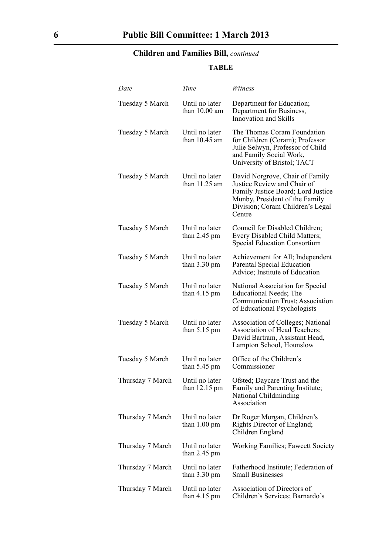## **Children and Families Bill,** *continued*

## **TABLE**

| Date             | Time                                      | Witness                                                                                                                                                                              |
|------------------|-------------------------------------------|--------------------------------------------------------------------------------------------------------------------------------------------------------------------------------------|
| Tuesday 5 March  | Until no later<br>than $10.00$ am         | Department for Education;<br>Department for Business,<br>Innovation and Skills                                                                                                       |
| Tuesday 5 March  | Until no later<br>than $10.45$ am         | The Thomas Coram Foundation<br>for Children (Coram); Professor<br>Julie Selwyn, Professor of Child<br>and Family Social Work,<br>University of Bristol; TACT                         |
| Tuesday 5 March  | Until no later<br>than $11.25$ am         | David Norgrove, Chair of Family<br>Justice Review and Chair of<br>Family Justice Board; Lord Justice<br>Munby, President of the Family<br>Division; Coram Children's Legal<br>Centre |
| Tuesday 5 March  | Until no later<br>than $2.45$ pm          | Council for Disabled Children;<br>Every Disabled Child Matters;<br><b>Special Education Consortium</b>                                                                               |
| Tuesday 5 March  | Until no later<br>than $3.30 \text{ pm}$  | Achievement for All; Independent<br>Parental Special Education<br>Advice; Institute of Education                                                                                     |
| Tuesday 5 March  | Until no later<br>than 4.15 pm            | National Association for Special<br>Educational Needs; The<br>Communication Trust; Association<br>of Educational Psychologists                                                       |
| Tuesday 5 March  | Until no later<br>than $5.15 \text{ pm}$  | <b>Association of Colleges; National</b><br>Association of Head Teachers;<br>David Bartram, Assistant Head,<br>Lampton School, Hounslow                                              |
| Tuesday 5 March  | Until no later<br>than $5.45$ pm          | Office of the Children's<br>Commissioner                                                                                                                                             |
| Thursday 7 March | Until no later<br>than $12.15 \text{ pm}$ | Ofsted; Daycare Trust and the<br>Family and Parenting Institute;<br>National Childminding<br>Association                                                                             |
| Thursday 7 March | Until no later<br>than $1.00 \text{ pm}$  | Dr Roger Morgan, Children's<br>Rights Director of England;<br>Children England                                                                                                       |
| Thursday 7 March | Until no later<br>than $2.45$ pm          | Working Families; Fawcett Society                                                                                                                                                    |
| Thursday 7 March | Until no later<br>than $3.30 \text{ pm}$  | Fatherhood Institute; Federation of<br><b>Small Businesses</b>                                                                                                                       |
| Thursday 7 March | Until no later<br>than $4.15 \text{ pm}$  | Association of Directors of<br>Children's Services; Barnardo's                                                                                                                       |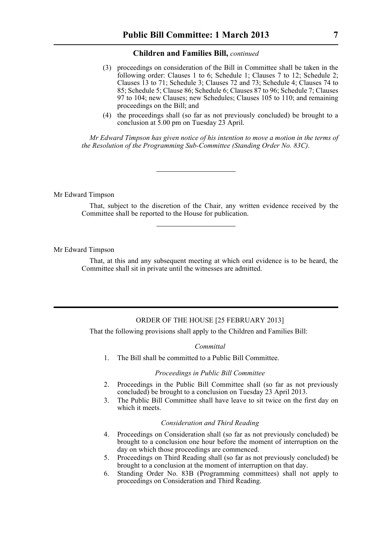#### **Children and Families Bill,** *continued*

- (3) proceedings on consideration of the Bill in Committee shall be taken in the following order: Clauses 1 to 6; Schedule 1; Clauses 7 to 12; Schedule 2; Clauses 13 to 71; Schedule 3; Clauses 72 and 73; Schedule 4; Clauses 74 to 85; Schedule 5; Clause 86; Schedule 6; Clauses 87 to 96; Schedule 7; Clauses 97 to 104; new Clauses; new Schedules; Clauses 105 to 110; and remaining proceedings on the Bill; and
- (4) the proceedings shall (so far as not previously concluded) be brought to a conclusion at 5.00 pm on Tuesday 23 April.

*Mr Edward Timpson has given notice of his intention to move a motion in the terms of the Resolution of the Programming Sub-Committee (Standing Order No. 83C).*

#### Mr Edward Timpson

That, subject to the discretion of the Chair, any written evidence received by the Committee shall be reported to the House for publication.

#### Mr Edward Timpson

That, at this and any subsequent meeting at which oral evidence is to be heard, the Committee shall sit in private until the witnesses are admitted.

### ORDER OF THE HOUSE [25 FEBRUARY 2013]

That the following provisions shall apply to the Children and Families Bill:

#### *Committal*

1. The Bill shall be committed to a Public Bill Committee.

#### *Proceedings in Public Bill Committee*

- 2. Proceedings in the Public Bill Committee shall (so far as not previously concluded) be brought to a conclusion on Tuesday 23 April 2013.
- 3. The Public Bill Committee shall have leave to sit twice on the first day on which it meets.

#### *Consideration and Third Reading*

- 4. Proceedings on Consideration shall (so far as not previously concluded) be brought to a conclusion one hour before the moment of interruption on the day on which those proceedings are commenced.
- 5. Proceedings on Third Reading shall (so far as not previously concluded) be brought to a conclusion at the moment of interruption on that day.
- 6. Standing Order No. 83B (Programming committees) shall not apply to proceedings on Consideration and Third Reading.